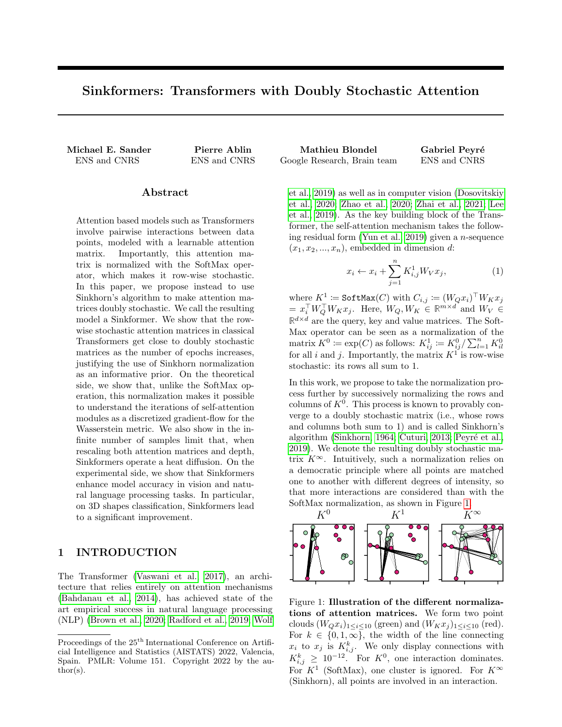# <span id="page-0-2"></span>Sinkformers: Transformers with Doubly Stochastic Attention

Michael E. Sander Pierre Ablin ENS and CNRS ENS and CNRS Google ENS and CNRS Google Research, Brain team ENS and CNRS Google  $\Gamma$ 

### Abstract

Attention based models such as Transformers involve pairwise interactions between data points, modeled with a learnable attention matrix. Importantly, this attention matrix is normalized with the SoftMax operator, which makes it row-wise stochastic. In this paper, we propose instead to use Sinkhorn's algorithm to make attention matrices doubly stochastic. We call the resulting model a Sinkformer. We show that the rowwise stochastic attention matrices in classical Transformers get close to doubly stochastic matrices as the number of epochs increases, justifying the use of Sinkhorn normalization as an informative prior. On the theoretical side, we show that, unlike the SoftMax operation, this normalization makes it possible to understand the iterations of self-attention modules as a discretized gradient-flow for the Wasserstein metric. We also show in the infinite number of samples limit that, when rescaling both attention matrices and depth, Sinkformers operate a heat diffusion. On the experimental side, we show that Sinkformers enhance model accuracy in vision and natural language processing tasks. In particular, on 3D shapes classification, Sinkformers lead to a significant improvement.

## 1 INTRODUCTION

The Transformer [\(Vaswani et al., 2017\)](#page-10-0), an architecture that relies entirely on attention mechanisms [\(Bahdanau et al., 2014\)](#page-8-0), has achieved state of the art empirical success in natural language processing (NLP) [\(Brown et al., 2020;](#page-8-1) [Radford et al., 2019;](#page-9-0) [Wolf](#page-10-1)

| Mathieu Blondel             | Gabriel Peyré |
|-----------------------------|---------------|
| Google Research, Brain team | ENS and CNRS  |

[et al., 2019\)](#page-10-1) as well as in computer vision [\(Dosovitskiy](#page-8-2) [et al., 2020;](#page-8-2) [Zhao et al., 2020;](#page-10-2) [Zhai et al., 2021;](#page-10-3) [Lee](#page-9-1) [et al., 2019\)](#page-9-1). As the key building block of the Transformer, the self-attention mechanism takes the follow-ing residual form [\(Yun et al., 2019\)](#page-10-4) given a  $n$ -sequence  $(x_1, x_2, \ldots, x_n)$ , embedded in dimension d:

<span id="page-0-1"></span>
$$
x_i \leftarrow x_i + \sum_{j=1}^n K_{i,j}^1 W_V x_j,
$$
 (1)

where  $K^1 \coloneqq \texttt{SoftMax}(C)$  with  $C_{i,j} \coloneqq (W_Q x_i)^\top W_K x_j$  $= x_i^{\top} W_Q^{\top} W_K x_j$ . Here,  $W_Q, W_K \in \mathbb{R}^{m \times d}$  and  $W_V \in$  $\mathbb{R}^{d \times d}$  are the query, key and value matrices. The Soft-Max operator can be seen as a normalization of the matrix  $K^0 \coloneqq \exp(C)$  as follows:  $K^1_{ij} \coloneqq K^0_{ij}/\sum_{l=1}^n K^0_{il}$ for all i and j. Importantly, the matrix  $K^1$  is row-wise stochastic: its rows all sum to 1.

In this work, we propose to take the normalization process further by successively normalizing the rows and columns of  $K^0$ . This process is known to provably converge to a doubly stochastic matrix (i.e., whose rows and columns both sum to 1) and is called Sinkhorn's algorithm [\(Sinkhorn, 1964;](#page-10-5) [Cuturi, 2013;](#page-8-3) Peyré et al., [2019\)](#page-9-2). We denote the resulting doubly stochastic matrix  $K^{\infty}$ . Intuitively, such a normalization relies on a democratic principle where all points are matched one to another with different degrees of intensity, so that more interactions are considered than with the SoftMax normalization, as shown in Figure [1.](#page-0-0)



<span id="page-0-0"></span>Figure 1: Illustration of the different normalizations of attention matrices. We form two point clouds  $(W_Qx_i)_{1 \leq i \leq 10}$  (green) and  $(W_Kx_i)_{1 \leq i \leq 10}$  (red). For  $k \in \{0, 1, \infty\}$ , the width of the line connecting  $x_i$  to  $x_j$  is  $K_{i,j}^k$ . We only display connections with  $K_{i,j}^k \geq 10^{-12}$ . For  $K^0$ , one interaction dominates. For  $K^1$  (SoftMax), one cluster is ignored. For  $K^{\infty}$ (Sinkhorn), all points are involved in an interaction.

Proceedings of the  $25^{\text{th}}$  International Conference on Artificial Intelligence and Statistics (AISTATS) 2022, Valencia, Spain. PMLR: Volume 151. Copyright 2022 by the author(s).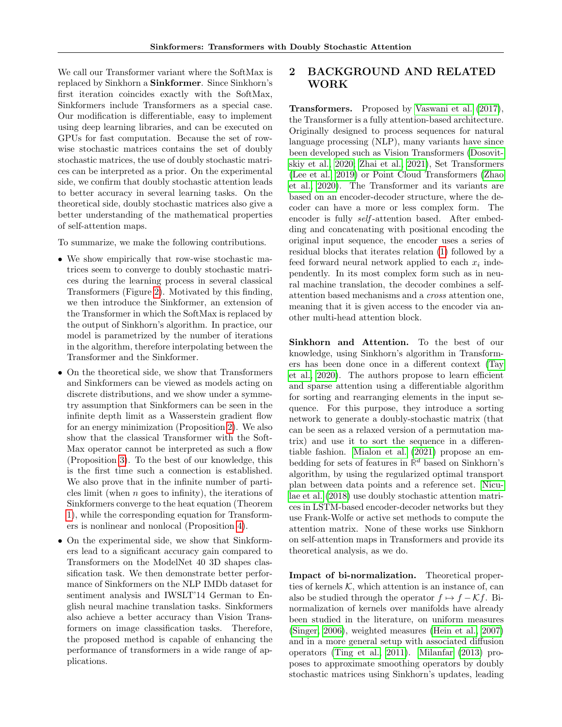We call our Transformer variant where the SoftMax is replaced by Sinkhorn a Sinkformer. Since Sinkhorn's first iteration coincides exactly with the SoftMax, Sinkformers include Transformers as a special case. Our modification is differentiable, easy to implement using deep learning libraries, and can be executed on GPUs for fast computation. Because the set of rowwise stochastic matrices contains the set of doubly stochastic matrices, the use of doubly stochastic matrices can be interpreted as a prior. On the experimental side, we confirm that doubly stochastic attention leads to better accuracy in several learning tasks. On the theoretical side, doubly stochastic matrices also give a better understanding of the mathematical properties of self-attention maps.

To summarize, we make the following contributions.

- We show empirically that row-wise stochastic matrices seem to converge to doubly stochastic matrices during the learning process in several classical Transformers (Figure [2\)](#page-2-0). Motivated by this finding, we then introduce the Sinkformer, an extension of the Transformer in which the SoftMax is replaced by the output of Sinkhorn's algorithm. In practice, our model is parametrized by the number of iterations in the algorithm, therefore interpolating between the Transformer and the Sinkformer.
- On the theoretical side, we show that Transformers and Sinkformers can be viewed as models acting on discrete distributions, and we show under a symmetry assumption that Sinkformers can be seen in the infinite depth limit as a Wasserstein gradient flow for an energy minimization (Proposition [2\)](#page-4-0). We also show that the classical Transformer with the Soft-Max operator cannot be interpreted as such a flow (Proposition [3\)](#page-4-1). To the best of our knowledge, this is the first time such a connection is established. We also prove that in the infinite number of particles limit (when  $n$  goes to infinity), the iterations of Sinkformers converge to the heat equation (Theorem [1\)](#page-5-0), while the corresponding equation for Transformers is nonlinear and nonlocal (Proposition [4\)](#page-5-1).
- On the experimental side, we show that Sinkformers lead to a significant accuracy gain compared to Transformers on the ModelNet 40 3D shapes classification task. We then demonstrate better performance of Sinkformers on the NLP IMDb dataset for sentiment analysis and IWSLT'14 German to English neural machine translation tasks. Sinkformers also achieve a better accuracy than Vision Transformers on image classification tasks. Therefore, the proposed method is capable of enhancing the performance of transformers in a wide range of applications.

# 2 BACKGROUND AND RELATED WORK

Transformers. Proposed by [Vaswani et al.](#page-10-0) [\(2017\)](#page-10-0), the Transformer is a fully attention-based architecture. Originally designed to process sequences for natural language processing (NLP), many variants have since been developed such as Vision Transformers [\(Dosovit](#page-8-2)[skiy et al., 2020;](#page-8-2) [Zhai et al., 2021\)](#page-10-3), Set Transformers [\(Lee et al., 2019\)](#page-9-1) or Point Cloud Transformers [\(Zhao](#page-10-2) [et al., 2020\)](#page-10-2). The Transformer and its variants are based on an encoder-decoder structure, where the decoder can have a more or less complex form. The encoder is fully self -attention based. After embedding and concatenating with positional encoding the original input sequence, the encoder uses a series of residual blocks that iterates relation [\(1\)](#page-0-1) followed by a feed forward neural network applied to each  $x_i$  independently. In its most complex form such as in neural machine translation, the decoder combines a selfattention based mechanisms and a cross attention one, meaning that it is given access to the encoder via another multi-head attention block.

Sinkhorn and Attention. To the best of our knowledge, using Sinkhorn's algorithm in Transformers has been done once in a different context [\(Tay](#page-10-6) [et al., 2020\)](#page-10-6). The authors propose to learn efficient and sparse attention using a differentiable algorithm for sorting and rearranging elements in the input sequence. For this purpose, they introduce a sorting network to generate a doubly-stochastic matrix (that can be seen as a relaxed version of a permutation matrix) and use it to sort the sequence in a differentiable fashion. [Mialon et al.](#page-9-3) [\(2021\)](#page-9-3) propose an embedding for sets of features in  $\mathbb{R}^d$  based on Sinkhorn's algorithm, by using the regularized optimal transport plan between data points and a reference set. [Nicu](#page-9-4)[lae et al.](#page-9-4) [\(2018\)](#page-9-4) use doubly stochastic attention matrices in LSTM-based encoder-decoder networks but they use Frank-Wolfe or active set methods to compute the attention matrix. None of these works use Sinkhorn on self-attention maps in Transformers and provide its theoretical analysis, as we do.

Impact of bi-normalization. Theoretical properties of kernels  $K$ , which attention is an instance of, can also be studied through the operator  $f \mapsto f - \mathcal{K}f$ . Binormalization of kernels over manifolds have already been studied in the literature, on uniform measures [\(Singer, 2006\)](#page-10-7), weighted measures [\(Hein et al., 2007\)](#page-9-5) and in a more general setup with associated diffusion operators [\(Ting et al., 2011\)](#page-10-8). [Milanfar](#page-9-6) [\(2013\)](#page-9-6) proposes to approximate smoothing operators by doubly stochastic matrices using Sinkhorn's updates, leading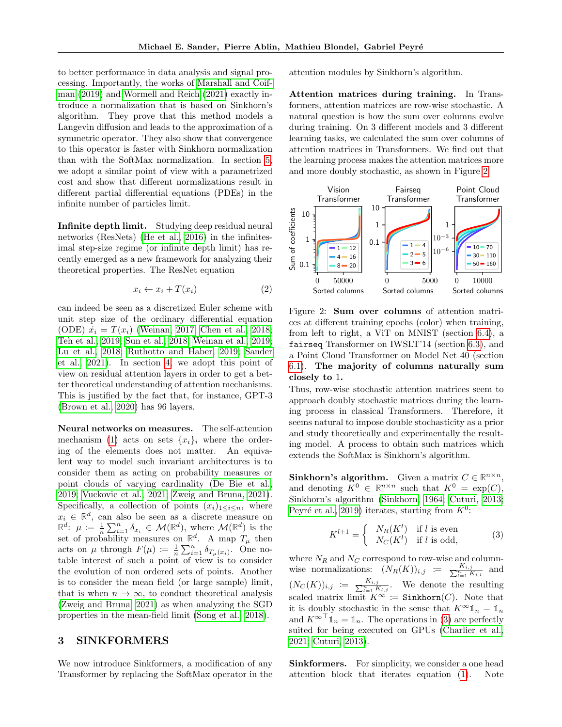to better performance in data analysis and signal processing. Importantly, the works of [Marshall and Coif](#page-9-7)[man](#page-9-7) [\(2019\)](#page-9-7) and [Wormell and Reich](#page-10-9) [\(2021\)](#page-10-9) exactly introduce a normalization that is based on Sinkhorn's algorithm. They prove that this method models a Langevin diffusion and leads to the approximation of a symmetric operator. They also show that convergence to this operator is faster with Sinkhorn normalization than with the SoftMax normalization. In section [5,](#page-5-2) we adopt a similar point of view with a parametrized cost and show that different normalizations result in different partial differential equations (PDEs) in the infinite number of particles limit.

Infinite depth limit. Studying deep residual neural networks (ResNets) [\(He et al., 2016\)](#page-9-8) in the infinitesimal step-size regime (or infinite depth limit) has recently emerged as a new framework for analyzing their theoretical properties. The ResNet equation

$$
x_i \leftarrow x_i + T(x_i) \tag{2}
$$

can indeed be seen as a discretized Euler scheme with unit step size of the ordinary differential equation (ODE)  $\dot{x}_i = T(x_i)$  [\(Weinan, 2017;](#page-10-10) [Chen et al., 2018;](#page-8-4) [Teh et al., 2019;](#page-10-11) [Sun et al., 2018;](#page-10-12) [Weinan et al., 2019;](#page-10-13) [Lu et al., 2018;](#page-9-9) [Ruthotto and Haber, 2019;](#page-9-10) [Sander](#page-9-11) [et al., 2021\)](#page-9-11). In section [4,](#page-3-0) we adopt this point of view on residual attention layers in order to get a better theoretical understanding of attention mechanisms. This is justified by the fact that, for instance, GPT-3 [\(Brown et al., 2020\)](#page-8-1) has 96 layers.

Neural networks on measures. The self-attention mechanism [\(1\)](#page-0-1) acts on sets  $\{x_i\}_i$  where the ordering of the elements does not matter. An equivalent way to model such invariant architectures is to consider them as acting on probability measures or point clouds of varying cardinality [\(De Bie et al.,](#page-8-5) [2019;](#page-8-5) [Vuckovic et al., 2021;](#page-10-14) [Zweig and Bruna, 2021\)](#page-10-15). Specifically, a collection of points  $(x_i)_{1\leq i\leq n}$ , where  $x_i \in \mathbb{R}^d$ , can also be seen as a discrete measure on  $\mathbb{R}^d$ :  $\mu := \frac{1}{n} \sum_{i=1}^n \delta_{x_i} \in \mathcal{M}(\mathbb{R}^d)$ , where  $\mathcal{M}(\mathbb{R}^d)$  is the set of probability measures on  $\mathbb{R}^d$ . A map  $T_\mu$  then acts on  $\mu$  through  $F(\mu) := \frac{1}{n} \sum_{i=1}^n \delta_{T_\mu(x_i)}$ . One notable interest of such a point of view is to consider the evolution of non ordered sets of points. Another is to consider the mean field (or large sample) limit, that is when  $n \to \infty$ , to conduct theoretical analysis [\(Zweig and Bruna, 2021\)](#page-10-15) as when analyzing the SGD properties in the mean-field limit [\(Song et al., 2018\)](#page-10-16).

## 3 SINKFORMERS

We now introduce Sinkformers, a modification of any Transformer by replacing the SoftMax operator in the attention modules by Sinkhorn's algorithm.

Attention matrices during training. In Transformers, attention matrices are row-wise stochastic. A natural question is how the sum over columns evolve during training. On 3 different models and 3 different learning tasks, we calculated the sum over columns of attention matrices in Transformers. We find out that the learning process makes the attention matrices more and more doubly stochastic, as shown in Figure [2.](#page-2-0)



<span id="page-2-2"></span><span id="page-2-0"></span>Figure 2: Sum over columns of attention matrices at different training epochs (color) when training, from left to right, a ViT on MNIST (section [6.4\)](#page-7-0), a fairseq Transformer on IWSLT'14 (section [6.3\)](#page-6-0), and a Point Cloud Transformer on Model Net 40 (section [6.1\)](#page-6-1). The majority of columns naturally sum closely to 1.

Thus, row-wise stochastic attention matrices seem to approach doubly stochastic matrices during the learning process in classical Transformers. Therefore, it seems natural to impose double stochasticity as a prior and study theoretically and experimentally the resulting model. A process to obtain such matrices which extends the SoftMax is Sinkhorn's algorithm.

**Sinkhorn's algorithm.** Given a matrix  $C \in \mathbb{R}^{n \times n}$ , and denoting  $K^0 \in \mathbb{R}^{n \times n}$  such that  $K^0 = \exp(C)$ , Sinkhorn's algorithm [\(Sinkhorn, 1964;](#page-10-5) [Cuturi, 2013;](#page-8-3) Peyré et al., 2019) iterates, starting from  $K^0$ :

<span id="page-2-1"></span>
$$
K^{l+1} = \begin{cases} N_R(K^l) & \text{if } l \text{ is even} \\ N_C(K^l) & \text{if } l \text{ is odd,} \end{cases}
$$
 (3)

where  $N_R$  and  $N_C$  correspond to row-wise and columnwise normalizations:  $(N_R(K))_{i,j} := \frac{K_{i,j}}{\sum_{l=1}^n K_{i,l}}$  and  $(N_C(K))_{i,j} := \frac{K_{i,j}}{\sum_{l=1}^n K_{l,j}}$ . We denote the resulting scaled matrix limit  $K^{\infty}$  := Sinkhorn(C). Note that it is doubly stochastic in the sense that  $K^{\infty} \mathbb{1}_n = \mathbb{1}_n$ and  $K^{\infty}$ <sup>T</sup>  $\mathbb{1}_n = \mathbb{1}_n$ . The operations in [\(3\)](#page-2-1) are perfectly suited for being executed on GPUs [\(Charlier et al.,](#page-8-6) [2021;](#page-8-6) [Cuturi, 2013\)](#page-8-3).

Sinkformers. For simplicity, we consider a one head attention block that iterates equation [\(1\)](#page-0-1). Note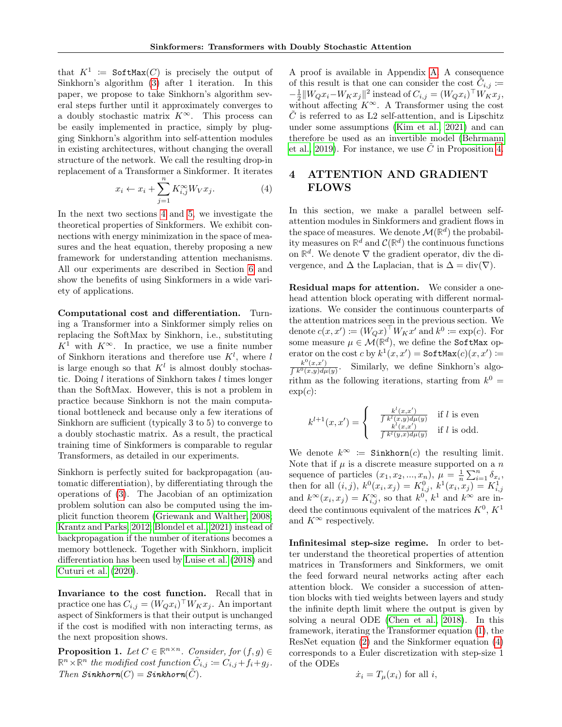that  $K^1 := \text{SoftMax}(C)$  is precisely the output of Sinkhorn's algorithm [\(3\)](#page-2-1) after 1 iteration. In this paper, we propose to take Sinkhorn's algorithm several steps further until it approximately converges to a doubly stochastic matrix  $K^{\infty}$ . This process can be easily implemented in practice, simply by plugging Sinkhorn's algorithm into self-attention modules in existing architectures, without changing the overall structure of the network. We call the resulting drop-in replacement of a Transformer a Sinkformer. It iterates

$$
x_i \leftarrow x_i + \sum_{j=1}^n K_{i,j}^{\infty} W_V x_j.
$$
 (4)

In the next two sections [4](#page-3-0) and [5,](#page-5-2) we investigate the theoretical properties of Sinkformers. We exhibit connections with energy minimization in the space of measures and the heat equation, thereby proposing a new framework for understanding attention mechanisms. All our experiments are described in Section [6](#page-5-3) and show the benefits of using Sinkformers in a wide variety of applications.

Computational cost and differentiation. Turning a Transformer into a Sinkformer simply relies on replacing the SoftMax by Sinkhorn, i.e., substituting  $K^1$  with  $K^{\infty}$ . In practice, we use a finite number of Sinkhorn iterations and therefore use  $K^l$ , where l is large enough so that  $K^l$  is almost doubly stochastic. Doing  $l$  iterations of Sinkhorn takes  $l$  times longer than the SoftMax. However, this is not a problem in practice because Sinkhorn is not the main computational bottleneck and because only a few iterations of Sinkhorn are sufficient (typically 3 to 5) to converge to a doubly stochastic matrix. As a result, the practical training time of Sinkformers is comparable to regular Transformers, as detailed in our experiments.

Sinkhorn is perfectly suited for backpropagation (automatic differentiation), by differentiating through the operations of [\(3\)](#page-2-1). The Jacobian of an optimization problem solution can also be computed using the implicit function theorem [\(Griewank and Walther, 2008;](#page-9-12) [Krantz and Parks, 2012;](#page-9-13) [Blondel et al., 2021\)](#page-8-7) instead of backpropagation if the number of iterations becomes a memory bottleneck. Together with Sinkhorn, implicit differentiation has been used by [Luise et al.](#page-9-14) [\(2018\)](#page-9-14) and [Cuturi et al.](#page-8-8) [\(2020\)](#page-8-8).

Invariance to the cost function. Recall that in practice one has  $C_{i,j} = (W_Q x_i)^\top W_K x_j$ . An important aspect of Sinkformers is that their output is unchanged if the cost is modified with non interacting terms, as the next proposition shows.

<span id="page-3-2"></span>**Proposition 1.** Let  $C \in \mathbb{R}^{n \times n}$ . Consider, for  $(f, g) \in$  $\mathbb{R}^n \times \mathbb{R}^n$  the modified cost function  $\tilde{C}_{i,j} := C_{i,j} + f_i + g_j$ . Then  $Sinkhorn(C) = Sinkhorn(C)$ .

A proof is available in Appendix [A.](#page-11-0) A consequence of this result is that one can consider the cost  $\tilde{C}_{i,j}$  :=  $-\frac{1}{2}||W_Qx_i-W_Kx_j||^2$  instead of  $C_{i,j} = (W_Qx_i)^\top W_Kx_j$ , without affecting  $K^{\infty}$ . A Transformer using the cost  $C$  is referred to as L2 self-attention, and is Lipschitz under some assumptions [\(Kim et al., 2021\)](#page-9-15) and can therefore be used as an invertible model [\(Behrmann](#page-8-9) [et al., 2019\)](#page-8-9). For instance, we use  $\tilde{C}$  in Proposition [4.](#page-5-1)

# <span id="page-3-1"></span><span id="page-3-0"></span>4 ATTENTION AND GRADIENT FLOWS

In this section, we make a parallel between selfattention modules in Sinkformers and gradient flows in the space of measures. We denote  $\mathcal{M}(\mathbb{R}^d)$  the probability measures on  $\mathbb{R}^d$  and  $\mathcal{C}(\mathbb{R}^d)$  the continuous functions on  $\mathbb{R}^d$ . We denote  $\nabla$  the gradient operator, div the divergence, and  $\Delta$  the Laplacian, that is  $\Delta = \text{div}(\nabla)$ .

Residual maps for attention. We consider a onehead attention block operating with different normalizations. We consider the continuous counterparts of the attention matrices seen in the previous section. We denote  $c(x, x') \coloneqq (W_Q x)^\top W_K x'$  and  $k^0 \coloneqq \exp(c)$ . For some measure  $\mu \in \mathcal{M}(\mathbb{R}^d)$ , we define the SoftMax operator on the cost  $c$  by  $k^1(x, x') = \texttt{SoftMax}(c)(x, x') \coloneqq$  $k^0(x,x')$  $\int k^0(x,y)d\mu(y)$ . Similarly, we define Sinkhorn's algorithm as the following iterations, starting from  $k^0 =$  $\exp(c)$ :

$$
k^{l+1}(x, x') = \begin{cases} \frac{k^l(x, x')}{\int k^l(x, y)d\mu(y)} & \text{if } l \text{ is even} \\ \frac{k^l(x, x')}{\int k^l(y, x)d\mu(y)} & \text{if } l \text{ is odd.} \end{cases}
$$

We denote  $k^{\infty}$  := Sinkhorn(c) the resulting limit. Note that if  $\mu$  is a discrete measure supported on a n sequence of particles  $(x_1, x_2, ..., x_n), \mu = \frac{1}{n} \sum_{i=1}^n \delta_{x_i},$ sequence of partners  $(x_1, x_2, ..., x_n)$ ,  $\mu - n \sum_{i=1}^{n} \sigma_{x_i}^1$ ,<br>then for all  $(i, j)$ ,  $k^0(x_i, x_j) = K_{i,j}^0$ ,  $k^1(x_i, x_j) = K_{i,j}^1$ <br>and  $k^{\infty}(x_i, x_j) = K_{i,j}^{\infty}$ , so that  $k^0$ ,  $k^1$  and  $k^{\infty}$  are indeed the continuous equivalent of the matrices  $K^0, K^1$ and  $K^{\infty}$  respectively.

Infinitesimal step-size regime. In order to better understand the theoretical properties of attention matrices in Transformers and Sinkformers, we omit the feed forward neural networks acting after each attention block. We consider a succession of attention blocks with tied weights between layers and study the infinite depth limit where the output is given by solving a neural ODE [\(Chen et al., 2018\)](#page-8-4). In this framework, iterating the Transformer equation [\(1\)](#page-0-1), the ResNet equation [\(2\)](#page-2-2) and the Sinkformer equation [\(4\)](#page-3-1) corresponds to a Euler discretization with step-size 1 of the ODEs

$$
\dot{x}_i = T_\mu(x_i) \text{ for all } i,
$$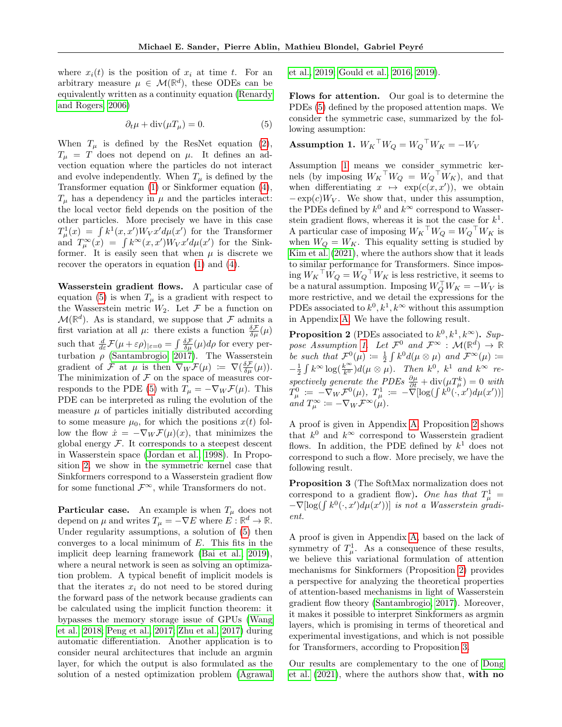where  $x_i(t)$  is the position of  $x_i$  at time t. For an arbitrary measure  $\mu \in \mathcal{M}(\mathbb{R}^d)$ , these ODEs can be equivalently written as a continuity equation [\(Renardy](#page-9-16) [and Rogers, 2006\)](#page-9-16)

$$
\partial_t \mu + \text{div}(\mu T_\mu) = 0. \tag{5}
$$

When  $T_{\mu}$  is defined by the ResNet equation [\(2\)](#page-2-2),  $T_{\mu}$  = T does not depend on  $\mu$ . It defines an advection equation where the particles do not interact and evolve independently. When  $T_{\mu}$  is defined by the Transformer equation [\(1\)](#page-0-1) or Sinkformer equation [\(4\)](#page-3-1),  $T_{\mu}$  has a dependency in  $\mu$  and the particles interact: the local vector field depends on the position of the other particles. More precisely we have in this case  $T^1_\mu(x) = \int k^1(x, x') W_V x' d\mu(x')$  for the Transformer and  $T_{\mu}^{\infty}(x) = \int k^{\infty}(x, x') W_V x' d\mu(x')$  for the Sinkformer. It is easily seen that when  $\mu$  is discrete we recover the operators in equation [\(1\)](#page-0-1) and [\(4\)](#page-3-1).

Wasserstein gradient flows. A particular case of equation [\(5\)](#page-4-2) is when  $T_{\mu}$  is a gradient with respect to the Wasserstein metric  $W_2$ . Let  $\mathcal F$  be a function on  $\mathcal{M}(\mathbb{R}^d)$ . As is standard, we suppose that F admits a first variation at all  $\mu$ : there exists a function  $\frac{\delta \mathcal{F}}{\delta \mu}(\mu)$ such that  $\frac{d}{d\varepsilon}\mathcal{F}(\mu+\varepsilon\rho)|_{\varepsilon=0} = \int \frac{\delta\mathcal{F}}{\delta\mu}(\mu)d\rho$  for every perturbation  $\rho$  [\(Santambrogio, 2017\)](#page-10-17). The Wasserstein gradient of F at  $\mu$  is then  $\nabla_W \mathcal{F}(\mu) := \nabla(\frac{\delta \mathcal{F}}{\delta \mu}(\mu)).$ The minimization of  ${\mathcal F}$  on the space of measures cor-responds to the PDE [\(5\)](#page-4-2) with  $T_{\mu} = -\nabla_W \mathcal{F}(\mu)$ . This PDE can be interpreted as ruling the evolution of the measure  $\mu$  of particles initially distributed according to some measure  $\mu_0$ , for which the positions  $x(t)$  follow the flow  $\dot{x} = -\nabla_W \mathcal{F}(\mu)(x)$ , that minimizes the global energy  $F$ . It corresponds to a steepest descent in Wasserstein space [\(Jordan et al., 1998\)](#page-9-17). In Proposition [2,](#page-4-0) we show in the symmetric kernel case that Sinkformers correspond to a Wasserstein gradient flow for some functional  $\mathcal{F}^{\infty}$ , while Transformers do not.

**Particular case.** An example is when  $T_{\mu}$  does not depend on  $\mu$  and writes  $T_{\mu} = -\nabla E$  where  $E : \mathbb{R}^d \to \mathbb{R}$ . Under regularity assumptions, a solution of [\(5\)](#page-4-2) then converges to a local minimum of  $E$ . This fits in the implicit deep learning framework [\(Bai et al., 2019\)](#page-8-10), where a neural network is seen as solving an optimization problem. A typical benefit of implicit models is that the iterates  $x_i$  do not need to be stored during the forward pass of the network because gradients can be calculated using the implicit function theorem: it bypasses the memory storage issue of GPUs [\(Wang](#page-10-18) [et al., 2018;](#page-10-18) [Peng et al., 2017;](#page-9-18) [Zhu et al., 2017\)](#page-10-19) during automatic differentiation. Another application is to consider neural architectures that include an argmin layer, for which the output is also formulated as the solution of a nested optimization problem [\(Agrawal](#page-8-11) [et al., 2019;](#page-8-11) [Gould et al., 2016,](#page-8-12) [2019\)](#page-8-13).

Flows for attention. Our goal is to determine the PDEs [\(5\)](#page-4-2) defined by the proposed attention maps. We consider the symmetric case, summarized by the following assumption:

<span id="page-4-3"></span><span id="page-4-2"></span>**Assumption 1.** 
$$
W_K^\top W_Q = W_Q^\top W_K = -W_V
$$

Assumption [1](#page-4-3) means we consider symmetric kernels (by imposing  $W_K^\top W_Q = W_Q^\top W_K$ ), and that when differentiating  $x \mapsto \exp(c(x, x'))$ , we obtain  $-\exp(c)W_V$ . We show that, under this assumption, the PDEs defined by  $k^0$  and  $k^{\infty}$  correspond to Wasserstein gradient flows, whereas it is not the case for  $k^1$ . A particular case of imposing  $W_K$ <sup>T</sup> $W_Q = W_Q$ <sup>T</sup> $W_K$  is when  $W_Q = W_K$ . This equality setting is studied by [Kim et al.](#page-9-15) [\(2021\)](#page-9-15), where the authors show that it leads to similar performance for Transformers. Since impos- $\log W_K$ <sup>T</sup> $W_Q = W_Q$ <sup>T</sup> $W_K$  is less restrictive, it seems to be a natural assumption. Imposing  $W_Q^{\top} W_K = -W_V$  is more restrictive, and we detail the expressions for the PDEs associated to  $k^0, k^1, k^\infty$  without this assumption in Appendix [A.](#page-11-0) We have the following result.

<span id="page-4-0"></span>**Proposition 2** (PDEs associated to  $k^0, k^1, k^\infty$ ). Sup-pose Assumption [1.](#page-4-3) Let  $\mathcal{F}^0$  and  $\mathcal{F}^{\infty}$  :  $\mathcal{M}(\mathbb{R}^d) \to \mathbb{R}$ be such that  $\mathcal{F}^0(\mu) \coloneqq \frac{1}{2} \int k^0 d(\mu \otimes \mu)$  and  $\mathcal{F}^{\infty}(\mu) \coloneqq$  $-\frac{1}{2}\int k^{\infty}\log(\frac{k^{\infty}}{k^0})d(\mu\otimes\mu)$ . Then  $k^0$ ,  $k^1$  and  $k^{\infty}$  re- $\frac{2}{\pi} \int_{0}^{\pi} \log(\frac{k_0}{k_0}) a(\mu \otimes \mu)$ . Then  $\pi$ ,  $\pi$  and  $\pi$  is considered the PDEs  $\frac{\partial \mu}{\partial t} + \text{div}(\mu T_{\mu}^k) = 0$  with  $T_\mu^0 \; := \; - \nabla_W \mathcal{F}^0(\mu), \; T_\mu^1 \; := \; - \breve{\nabla}[\log (\int k^0 (\cdot, x') d \mu(x'))]$ and  $T_{\mu}^{\infty} \coloneqq -\nabla_W \mathcal{F}^{\infty}(\mu).$ 

A proof is given in Appendix [A.](#page-11-0) Proposition [2](#page-4-0) shows that  $k^0$  and  $k^\infty$  correspond to Wasserstein gradient flows. In addition, the PDE defined by  $k^1$  does not correspond to such a flow. More precisely, we have the following result.

<span id="page-4-1"></span>Proposition 3 (The SoftMax normalization does not correspond to a gradient flow). One has that  $T^1_\mu$  =  $-\nabla$ [log( $\int k^0(\cdot, x') d\mu(x')$ )] is not a Wasserstein gradient.

A proof is given in Appendix [A,](#page-11-0) based on the lack of symmetry of  $T^1_\mu$ . As a consequence of these results, we believe this variational formulation of attention mechanisms for Sinkformers (Proposition [2\)](#page-4-0) provides a perspective for analyzing the theoretical properties of attention-based mechanisms in light of Wasserstein gradient flow theory [\(Santambrogio, 2017\)](#page-10-17). Moreover, it makes it possible to interpret Sinkformers as argmin layers, which is promising in terms of theoretical and experimental investigations, and which is not possible for Transformers, according to Proposition [3.](#page-4-1)

Our results are complementary to the one of [Dong](#page-8-14) [et al.](#page-8-14) [\(2021\)](#page-8-14), where the authors show that, with no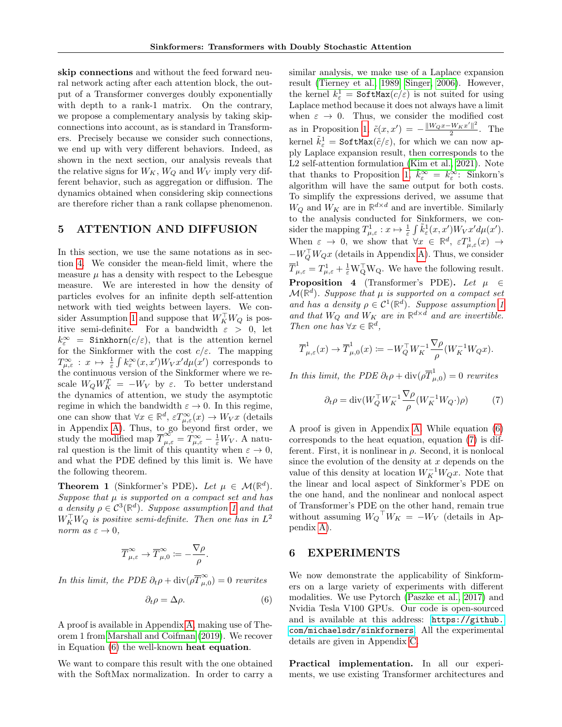skip connections and without the feed forward neural network acting after each attention block, the output of a Transformer converges doubly exponentially with depth to a rank-1 matrix. On the contrary, we propose a complementary analysis by taking skipconnections into account, as is standard in Transformers. Precisely because we consider such connections, we end up with very different behaviors. Indeed, as shown in the next section, our analysis reveals that the relative signs for  $W_K$ ,  $W_Q$  and  $W_V$  imply very different behavior, such as aggregation or diffusion. The dynamics obtained when considering skip connections are therefore richer than a rank collapse phenomenon.

### <span id="page-5-2"></span>5 ATTENTION AND DIFFUSION

In this section, we use the same notations as in section [4.](#page-3-0) We consider the mean-field limit, where the measure  $\mu$  has a density with respect to the Lebesgue measure. We are interested in how the density of particles evolves for an infinite depth self-attention network with tied weights between layers. We con-sider Assumption [1](#page-4-3) and suppose that  $W_K^{\top} W_Q$  is positive semi-definite. For a bandwidth  $\varepsilon > 0$ , let  $k_{\varepsilon}^{\infty}$  = Sinkhorn $(c/\varepsilon)$ , that is the attention kernel for the Sinkformer with the cost  $c/\varepsilon$ . The mapping  $T^{\infty}_{\mu,\varepsilon}: x \mapsto \frac{1}{\varepsilon} \int k^{\infty}_{\varepsilon}(x,x')W_V x' d\mu(x')$  corresponds to the continuous version of the Sinkformer where we rescale  $W_Q W_K^T = -W_V$  by  $\varepsilon$ . To better understand the dynamics of attention, we study the asymptotic regime in which the bandwidth  $\varepsilon \to 0$ . In this regime, one can show that  $\forall x \in \mathbb{R}^d$ ,  $\varepsilon T^{\infty}_{\mu,\varepsilon}(x) \to W_V x$  (details in Appendix [A\)](#page-11-0). Thus, to go beyond first order, we study the modified map  $\overline{T}^{\infty}_{\mu,\varepsilon} = T^{\infty}_{\mu,\varepsilon} - \frac{1}{\varepsilon}W_V$ . A natural question is the limit of this quantity when  $\varepsilon \to 0$ , and what the PDE defined by this limit is. We have the following theorem.

<span id="page-5-0"></span>**Theorem 1** (Sinkformer's PDE). Let  $\mu \in \mathcal{M}(\mathbb{R}^d)$ . Suppose that  $\mu$  is supported on a compact set and has a density  $\rho \in C^3(\mathbb{R}^d)$ . Suppose assumption [1](#page-4-3) and that  $W_K^{\top} W_Q$  is positive semi-definite. Then one has in  $L^2$ norm as  $\varepsilon \to 0$ ,

$$
\overline{T}_{\mu,\varepsilon}^\infty\to \overline{T}_{\mu,0}^\infty:=-\frac{\nabla\rho}{\rho}.
$$

In this limit, the PDE  $\partial_t \rho + \text{div}(\rho \overline{T}_{\mu,\nu}^{\infty})$  $\sum_{\mu,0}^{\infty}$  = 0 rewrites

$$
\partial_t \rho = \Delta \rho. \tag{6}
$$

A proof is available in Appendix [A,](#page-11-0) making use of Theorem 1 from [Marshall and Coifman](#page-9-7) [\(2019\)](#page-9-7). We recover in Equation [\(6\)](#page-5-4) the well-known heat equation.

We want to compare this result with the one obtained with the SoftMax normalization. In order to carry a similar analysis, we make use of a Laplace expansion result [\(Tierney et al., 1989;](#page-10-20) [Singer, 2006\)](#page-10-7). However, the kernel  $k_{\varepsilon}^1 = \text{SoftMax}(c/\varepsilon)$  is not suited for using Laplace method because it does not always have a limit when  $\varepsilon \to 0$ . Thus, we consider the modified cost as in Proposition [1,](#page-3-2)  $\tilde{c}(x, x') = -\frac{\|W_Q x - W_K x'\|^2}{2}$  $\frac{2}{2}$ . The kernel  $\tilde{k}^1_\varepsilon = \text{SoftMax}(\tilde{c}/\varepsilon)$ , for which we can now apply Laplace expansion result, then corresponds to the L2 self-attention formulation [\(Kim et al., 2021\)](#page-9-15). Note that thanks to Proposition [1,](#page-3-2)  $\tilde{k}_{\varepsilon}^{\infty} = k_{\varepsilon}^{\infty}$ : Sinkorn's algorithm will have the same output for both costs. To simplify the expressions derived, we assume that  $W_Q$  and  $W_K$  are in  $\mathbb{R}^{d \times d}$  and are invertible. Similarly to the analysis conducted for Sinkformers, we consider the mapping  $T^1_{\mu,\varepsilon}: x \mapsto \frac{1}{\varepsilon} \int \tilde{k}^1_{\varepsilon}(x,x') W_V x' d\mu(x').$ When  $\varepsilon \to 0$ , we show that  $\forall x \in \mathbb{R}^d$ ,  $\varepsilon T^1_{\mu,\varepsilon}(x) \to$  $-W_Q^{\top} W_Q x$  (details in Appendix [A\)](#page-11-0). Thus, we consider  $\overline{T}_{\mu,\varepsilon}^1 = T_{\mu,\varepsilon}^1 + \frac{1}{\varepsilon} \mathbf{W}_\mathbf{Q}^\top \mathbf{W}_\mathbf{Q}$ . We have the following result. **Proposition 4** (Transformer's PDE). Let  $\mu \in$  $\mathcal{M}(\mathbb{R}^d)$ . Suppose that  $\mu$  is supported on a compact set and has a density  $\rho \in C^1(\mathbb{R}^d)$ . Suppose assumption [1](#page-4-3) and that  $W_Q$  and  $W_K$  are in  $\mathbb{R}^{d \times d}$  and are invertible. Then one has  $\forall x \in \mathbb{R}^d$ ,

<span id="page-5-1"></span>
$$
\overline{T}^1_{\mu,\varepsilon}(x) \to \overline{T}^1_{\mu,0}(x) \coloneqq -W_Q^\top W_K^{-1} \frac{\nabla \rho}{\rho} (W_K^{-1} W_Q x).
$$

In this limit, the PDE  $\partial_t \rho + \text{div}(\rho \overline{T}_{\mu}^1)$  $\mu_{\mu,0}^{\text{L}}$  = 0 rewrites

<span id="page-5-5"></span>
$$
\partial_t \rho = \text{div}(W_Q^\top W_K^{-1} \frac{\nabla \rho}{\rho} (W_K^{-1} W_Q \cdot) \rho) \tag{7}
$$

A proof is given in Appendix [A.](#page-11-0) While equation [\(6\)](#page-5-4) corresponds to the heat equation, equation [\(7\)](#page-5-5) is different. First, it is nonlinear in  $\rho$ . Second, it is nonlocal since the evolution of the density at  $x$  depends on the value of this density at location  $W_K^{-1}W_Qx$ . Note that the linear and local aspect of Sinkformer's PDE on the one hand, and the nonlinear and nonlocal aspect of Transformer's PDE on the other hand, remain true without assuming  $W_Q^\top W_K = -W_V$  (details in Appendix [A\)](#page-11-0).

## <span id="page-5-3"></span>6 EXPERIMENTS

<span id="page-5-4"></span>We now demonstrate the applicability of Sinkformers on a large variety of experiments with different modalities. We use Pytorch [\(Paszke et al., 2017\)](#page-9-19) and Nvidia Tesla V100 GPUs. Our code is open-sourced and is available at this address: [https://github.](https://github.com/michaelsdr/sinkformers) [com/michaelsdr/sinkformers](https://github.com/michaelsdr/sinkformers). All the experimental details are given in Appendix [C.](#page-14-0)

Practical implementation. In all our experiments, we use existing Transformer architectures and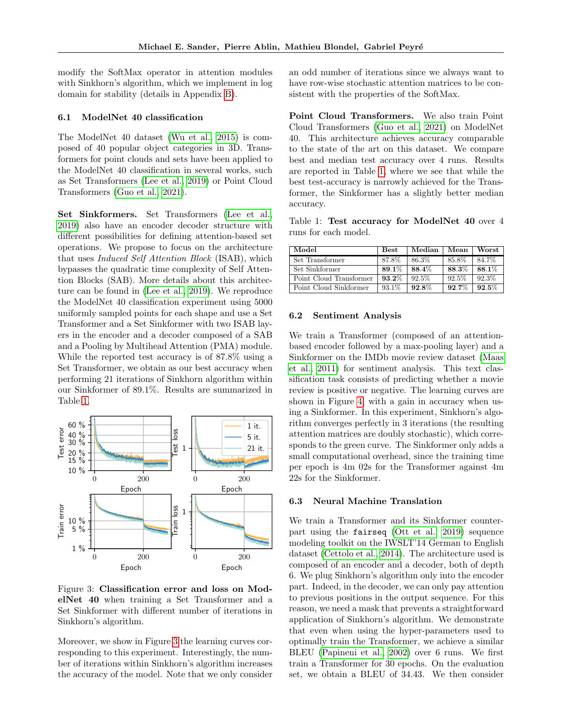modify the SoftMax operator in attention modules with Sinkhorn's algorithm, which we implement in log domain for stability (details in Appendix [B\)](#page-14-1).

### <span id="page-6-1"></span>6.1 ModelNet 40 classification

The ModelNet 40 dataset [\(Wu et al., 2015\)](#page-10-21) is composed of 40 popular object categories in 3D. Transformers for point clouds and sets have been applied to the ModelNet 40 classification in several works, such as Set Transformers [\(Lee et al., 2019\)](#page-9-1) or Point Cloud Transformers [\(Guo et al., 2021\)](#page-9-20).

Set Sinkformers. Set Transformers [\(Lee et al.,](#page-9-1) [2019\)](#page-9-1) also have an encoder decoder structure with different possibilities for defining attention-based set operations. We propose to focus on the architecture that uses Induced Self Attention Block (ISAB), which bypasses the quadratic time complexity of Self Attention Blocks (SAB). More details about this architecture can be found in [\(Lee et al., 2019\)](#page-9-1). We reproduce the ModelNet 40 classification experiment using 5000 uniformly sampled points for each shape and use a Set Transformer and a Set Sinkformer with two ISAB layers in the encoder and a decoder composed of a SAB and a Pooling by Multihead Attention (PMA) module. While the reported test accuracy is of 87.8% using a Set Transformer, we obtain as our best accuracy when performing 21 iterations of Sinkhorn algorithm within our Sinkformer of 89.1%. Results are summarized in Table [1.](#page-6-2)



<span id="page-6-3"></span>Figure 3: Classification error and loss on ModelNet 40 when training a Set Transformer and a Set Sinkformer with different number of iterations in Sinkhorn's algorithm.

Moreover, we show in Figure [3](#page-6-3) the learning curves corresponding to this experiment. Interestingly, the number of iterations within Sinkhorn's algorithm increases the accuracy of the model. Note that we only consider

an odd number of iterations since we always want to have row-wise stochastic attention matrices to be consistent with the properties of the SoftMax.

Point Cloud Transformers. We also train Point Cloud Transformers [\(Guo et al., 2021\)](#page-9-20) on ModelNet 40. This architecture achieves accuracy comparable to the state of the art on this dataset. We compare best and median test accuracy over 4 runs. Results are reported in Table [1,](#page-6-2) where we see that while the best test-accuracy is narrowly achieved for the Transformer, the Sinkformer has a slightly better median accuracy.

<span id="page-6-2"></span>Table 1: Test accuracy for ModelNet 40 over 4 runs for each model.

| Model                   | $_{\rm Best}$ | Median   | Mean     | Worst |
|-------------------------|---------------|----------|----------|-------|
| Set Transformer         | 87.8%         | 86.3%    | 85.8%    | 84.7% |
| Set Sinkformer          | 89.1%         | 88.4%    | 88.3%    | 88.1% |
| Point Cloud Transformer | $93.2\%$      | $92.5\%$ | $92.5\%$ | 92.3% |
| Point Cloud Sinkformer  | 93.1%         | $92.8\%$ | $92.7\%$ | 92.5% |

#### 6.2 Sentiment Analysis

We train a Transformer (composed of an attentionbased encoder followed by a max-pooling layer) and a Sinkformer on the IMDb movie review dataset [\(Maas](#page-9-21) [et al., 2011\)](#page-9-21) for sentiment analysis. This text classification task consists of predicting whether a movie review is positive or negative. The learning curves are shown in Figure [4,](#page-7-1) with a gain in accuracy when using a Sinkformer. In this experiment, Sinkhorn's algorithm converges perfectly in 3 iterations (the resulting attention matrices are doubly stochastic), which corresponds to the green curve. The Sinkformer only adds a small computational overhead, since the training time per epoch is 4m 02s for the Transformer against 4m 22s for the Sinkformer.

### <span id="page-6-0"></span>6.3 Neural Machine Translation

We train a Transformer and its Sinkformer counterpart using the fairseq [\(Ott et al., 2019\)](#page-9-22) sequence modeling toolkit on the IWSLT'14 German to English dataset [\(Cettolo et al., 2014\)](#page-8-15). The architecture used is composed of an encoder and a decoder, both of depth 6. We plug Sinkhorn's algorithm only into the encoder part. Indeed, in the decoder, we can only pay attention to previous positions in the output sequence. For this reason, we need a mask that prevents a straightforward application of Sinkhorn's algorithm. We demonstrate that even when using the hyper-parameters used to optimally train the Transformer, we achieve a similar BLEU [\(Papineni et al., 2002\)](#page-9-23) over 6 runs. We first train a Transformer for 30 epochs. On the evaluation set, we obtain a BLEU of 34.43. We then consider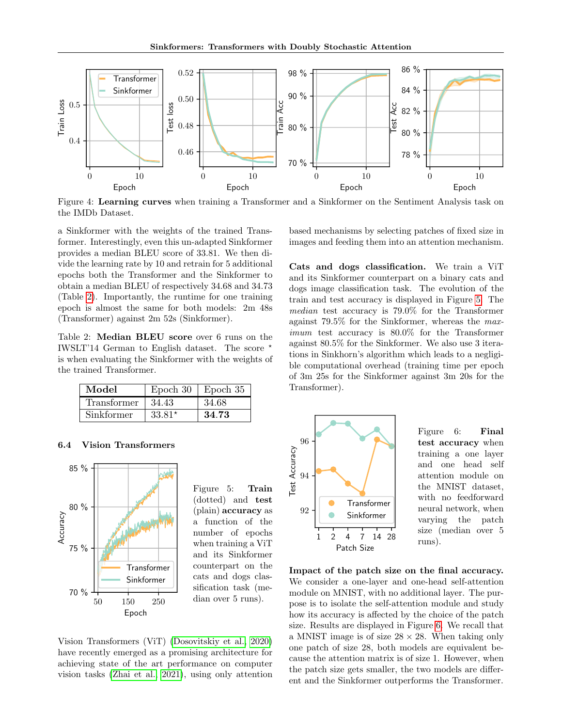

<span id="page-7-1"></span>Figure 4: Learning curves when training a Transformer and a Sinkformer on the Sentiment Analysis task on the IMDb Dataset.

a Sinkformer with the weights of the trained Transformer. Interestingly, even this un-adapted Sinkformer provides a median BLEU score of 33.81. We then divide the learning rate by 10 and retrain for 5 additional epochs both the Transformer and the Sinkformer to obtain a median BLEU of respectively 34.68 and 34.73 (Table [2\)](#page-7-2). Importantly, the runtime for one training epoch is almost the same for both models: 2m 48s (Transformer) against 2m 52s (Sinkformer).

<span id="page-7-2"></span>Table 2: Median BLEU score over 6 runs on the IWSLT'14 German to English dataset. The score ? is when evaluating the Sinkformer with the weights of the trained Transformer.

| Model       | Epoch 30 | Epoch 35 |
|-------------|----------|----------|
| Transformer | 34.43    | 34.68    |
| Sinkformer  | $33.81*$ | 34.73    |

#### <span id="page-7-0"></span>6.4 Vision Transformers



<span id="page-7-3"></span>Figure 5: Train (dotted) and test (plain) accuracy as a function of the number of epochs when training a ViT and its Sinkformer counterpart on the cats and dogs classification task (median over 5 runs).

Vision Transformers (ViT) [\(Dosovitskiy et al., 2020\)](#page-8-2) have recently emerged as a promising architecture for achieving state of the art performance on computer vision tasks [\(Zhai et al., 2021\)](#page-10-3), using only attention

based mechanisms by selecting patches of fixed size in images and feeding them into an attention mechanism.

Cats and dogs classification. We train a ViT and its Sinkformer counterpart on a binary cats and dogs image classification task. The evolution of the train and test accuracy is displayed in Figure [5.](#page-7-3) The median test accuracy is 79.0% for the Transformer against 79.5% for the Sinkformer, whereas the maximum test accuracy is 80.0% for the Transformer against 80.5% for the Sinkformer. We also use 3 iterations in Sinkhorn's algorithm which leads to a negligible computational overhead (training time per epoch of 3m 25s for the Sinkformer against 3m 20s for the Transformer).



<span id="page-7-4"></span>Figure 6: Final test accuracy when training a one layer and one head self attention module on the MNIST dataset, with no feedforward neural network, when varying the patch size (median over 5 runs).

Impact of the patch size on the final accuracy. We consider a one-layer and one-head self-attention module on MNIST, with no additional layer. The purpose is to isolate the self-attention module and study how its accuracy is affected by the choice of the patch size. Results are displayed in Figure [6.](#page-7-4) We recall that a MNIST image is of size  $28 \times 28$ . When taking only one patch of size 28, both models are equivalent because the attention matrix is of size 1. However, when the patch size gets smaller, the two models are different and the Sinkformer outperforms the Transformer.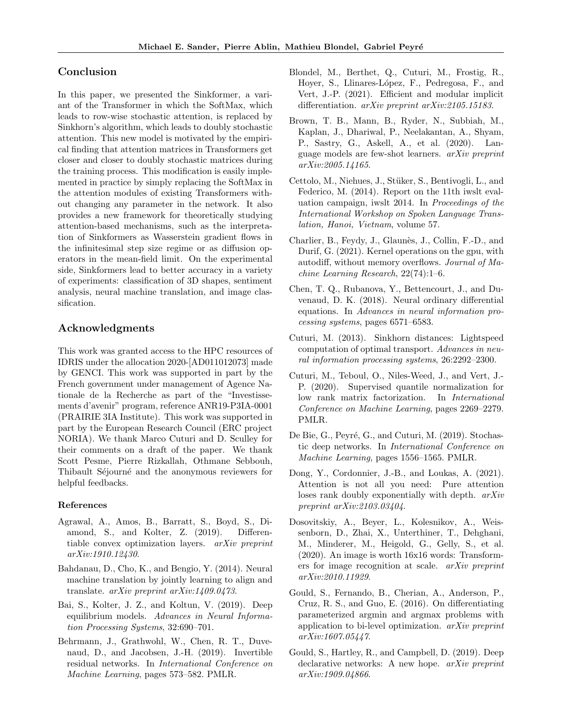### Conclusion

In this paper, we presented the Sinkformer, a variant of the Transformer in which the SoftMax, which leads to row-wise stochastic attention, is replaced by Sinkhorn's algorithm, which leads to doubly stochastic attention. This new model is motivated by the empirical finding that attention matrices in Transformers get closer and closer to doubly stochastic matrices during the training process. This modification is easily implemented in practice by simply replacing the SoftMax in the attention modules of existing Transformers without changing any parameter in the network. It also provides a new framework for theoretically studying attention-based mechanisms, such as the interpretation of Sinkformers as Wasserstein gradient flows in the infinitesimal step size regime or as diffusion operators in the mean-field limit. On the experimental side, Sinkformers lead to better accuracy in a variety of experiments: classification of 3D shapes, sentiment analysis, neural machine translation, and image classification.

## Acknowledgments

This work was granted access to the HPC resources of IDRIS under the allocation 2020-[AD011012073] made by GENCI. This work was supported in part by the French government under management of Agence Nationale de la Recherche as part of the "Investissements d'avenir" program, reference ANR19-P3IA-0001 (PRAIRIE 3IA Institute). This work was supported in part by the European Research Council (ERC project NORIA). We thank Marco Cuturi and D. Sculley for their comments on a draft of the paper. We thank Scott Pesme, Pierre Rizkallah, Othmane Sebbouh, Thibault Séjourné and the anonymous reviewers for helpful feedbacks.

### References

- <span id="page-8-11"></span>Agrawal, A., Amos, B., Barratt, S., Boyd, S., Diamond, S., and Kolter, Z. (2019). Differentiable convex optimization layers. arXiv preprint arXiv:1910.12430.
- <span id="page-8-0"></span>Bahdanau, D., Cho, K., and Bengio, Y. (2014). Neural machine translation by jointly learning to align and translate. arXiv preprint arXiv:1409.0473.
- <span id="page-8-10"></span>Bai, S., Kolter, J. Z., and Koltun, V. (2019). Deep equilibrium models. Advances in Neural Information Processing Systems, 32:690–701.
- <span id="page-8-9"></span>Behrmann, J., Grathwohl, W., Chen, R. T., Duvenaud, D., and Jacobsen, J.-H. (2019). Invertible residual networks. In International Conference on Machine Learning, pages 573–582. PMLR.
- <span id="page-8-7"></span>Blondel, M., Berthet, Q., Cuturi, M., Frostig, R., Hoyer, S., Llinares-López, F., Pedregosa, F., and Vert, J.-P. (2021). Efficient and modular implicit differentiation. arXiv preprint arXiv:2105.15183.
- <span id="page-8-1"></span>Brown, T. B., Mann, B., Ryder, N., Subbiah, M., Kaplan, J., Dhariwal, P., Neelakantan, A., Shyam, P., Sastry, G., Askell, A., et al. (2020). Language models are few-shot learners. arXiv preprint arXiv:2005.14165.
- <span id="page-8-15"></span>Cettolo, M., Niehues, J., Stüker, S., Bentivogli, L., and Federico, M. (2014). Report on the 11th iwslt evaluation campaign, iwslt 2014. In Proceedings of the International Workshop on Spoken Language Translation, Hanoi, Vietnam, volume 57.
- <span id="page-8-6"></span>Charlier, B., Feydy, J., Glaunès, J., Collin, F.-D., and Durif, G. (2021). Kernel operations on the gpu, with autodiff, without memory overflows. Journal of Machine Learning Research, 22(74):1–6.
- <span id="page-8-4"></span>Chen, T. Q., Rubanova, Y., Bettencourt, J., and Duvenaud, D. K. (2018). Neural ordinary differential equations. In Advances in neural information processing systems, pages 6571–6583.
- <span id="page-8-3"></span>Cuturi, M. (2013). Sinkhorn distances: Lightspeed computation of optimal transport. Advances in neural information processing systems, 26:2292–2300.
- <span id="page-8-8"></span>Cuturi, M., Teboul, O., Niles-Weed, J., and Vert, J.- P. (2020). Supervised quantile normalization for low rank matrix factorization. In International Conference on Machine Learning, pages 2269–2279. PMLR.
- <span id="page-8-5"></span>De Bie, G., Peyré, G., and Cuturi, M. (2019). Stochastic deep networks. In International Conference on Machine Learning, pages 1556–1565. PMLR.
- <span id="page-8-14"></span>Dong, Y., Cordonnier, J.-B., and Loukas, A. (2021). Attention is not all you need: Pure attention loses rank doubly exponentially with depth.  $arXiv$ preprint arXiv:2103.03404.
- <span id="page-8-2"></span>Dosovitskiy, A., Beyer, L., Kolesnikov, A., Weissenborn, D., Zhai, X., Unterthiner, T., Dehghani, M., Minderer, M., Heigold, G., Gelly, S., et al. (2020). An image is worth 16x16 words: Transformers for image recognition at scale. arXiv preprint arXiv:2010.11929.
- <span id="page-8-12"></span>Gould, S., Fernando, B., Cherian, A., Anderson, P., Cruz, R. S., and Guo, E. (2016). On differentiating parameterized argmin and argmax problems with application to bi-level optimization. arXiv preprint arXiv:1607.05447.
- <span id="page-8-13"></span>Gould, S., Hartley, R., and Campbell, D. (2019). Deep declarative networks: A new hope. *arXiv preprint* arXiv:1909.04866.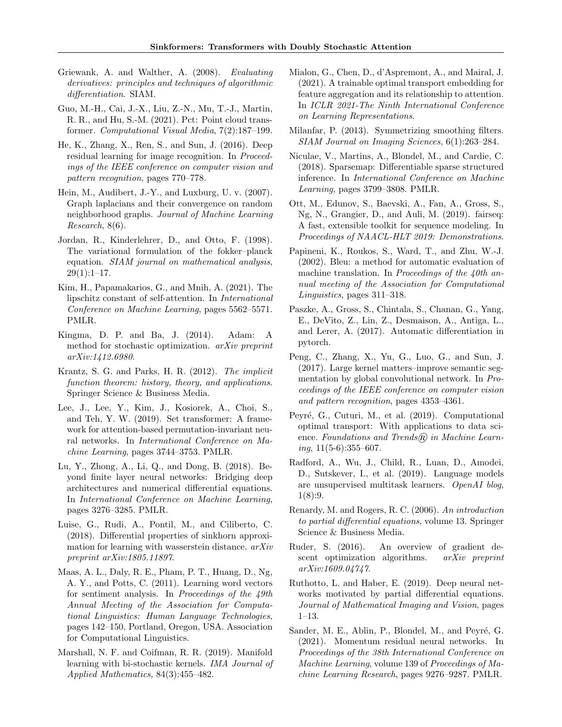- <span id="page-9-12"></span>Griewank, A. and Walther, A. (2008). Evaluating derivatives: principles and techniques of algorithmic differentiation. SIAM.
- <span id="page-9-20"></span>Guo, M.-H., Cai, J.-X., Liu, Z.-N., Mu, T.-J., Martin, R. R., and Hu, S.-M. (2021). Pct: Point cloud transformer. Computational Visual Media, 7(2):187–199.
- <span id="page-9-8"></span>He, K., Zhang, X., Ren, S., and Sun, J. (2016). Deep residual learning for image recognition. In Proceedings of the IEEE conference on computer vision and pattern recognition, pages 770–778.
- <span id="page-9-5"></span>Hein, M., Audibert, J.-Y., and Luxburg, U. v. (2007). Graph laplacians and their convergence on random neighborhood graphs. Journal of Machine Learning Research, 8(6).
- <span id="page-9-17"></span>Jordan, R., Kinderlehrer, D., and Otto, F. (1998). The variational formulation of the fokker–planck equation. SIAM journal on mathematical analysis,  $29(1):1-17.$
- <span id="page-9-15"></span>Kim, H., Papamakarios, G., and Mnih, A. (2021). The lipschitz constant of self-attention. In International Conference on Machine Learning, pages 5562–5571. PMLR.
- <span id="page-9-24"></span>Kingma, D. P. and Ba, J. (2014). Adam: A method for stochastic optimization. arXiv preprint arXiv:1412.6980.
- <span id="page-9-13"></span>Krantz, S. G. and Parks, H. R. (2012). The implicit function theorem: history, theory, and applications. Springer Science & Business Media.
- <span id="page-9-1"></span>Lee, J., Lee, Y., Kim, J., Kosiorek, A., Choi, S., and Teh, Y. W. (2019). Set transformer: A framework for attention-based permutation-invariant neural networks. In International Conference on Machine Learning, pages 3744–3753. PMLR.
- <span id="page-9-9"></span>Lu, Y., Zhong, A., Li, Q., and Dong, B. (2018). Beyond finite layer neural networks: Bridging deep architectures and numerical differential equations. In International Conference on Machine Learning, pages 3276–3285. PMLR.
- <span id="page-9-14"></span>Luise, G., Rudi, A., Pontil, M., and Ciliberto, C. (2018). Differential properties of sinkhorn approximation for learning with wasserstein distance. arXiv preprint arXiv:1805.11897.
- <span id="page-9-21"></span>Maas, A. L., Daly, R. E., Pham, P. T., Huang, D., Ng, A. Y., and Potts, C. (2011). Learning word vectors for sentiment analysis. In Proceedings of the  $49th$ Annual Meeting of the Association for Computational Linguistics: Human Language Technologies, pages 142–150, Portland, Oregon, USA. Association for Computational Linguistics.
- <span id="page-9-7"></span>Marshall, N. F. and Coifman, R. R. (2019). Manifold learning with bi-stochastic kernels. IMA Journal of Applied Mathematics, 84(3):455–482.
- <span id="page-9-3"></span>Mialon, G., Chen, D., d'Aspremont, A., and Mairal, J. (2021). A trainable optimal transport embedding for feature aggregation and its relationship to attention. In ICLR 2021-The Ninth International Conference on Learning Representations.
- <span id="page-9-6"></span>Milanfar, P. (2013). Symmetrizing smoothing filters. SIAM Journal on Imaging Sciences, 6(1):263–284.
- <span id="page-9-4"></span>Niculae, V., Martins, A., Blondel, M., and Cardie, C. (2018). Sparsemap: Differentiable sparse structured inference. In International Conference on Machine Learning, pages 3799–3808. PMLR.
- <span id="page-9-22"></span>Ott, M., Edunov, S., Baevski, A., Fan, A., Gross, S., Ng, N., Grangier, D., and Auli, M. (2019). fairseq: A fast, extensible toolkit for sequence modeling. In Proceedings of NAACL-HLT 2019: Demonstrations.
- <span id="page-9-23"></span>Papineni, K., Roukos, S., Ward, T., and Zhu, W.-J. (2002). Bleu: a method for automatic evaluation of machine translation. In Proceedings of the 40th annual meeting of the Association for Computational Linguistics, pages 311–318.
- <span id="page-9-19"></span>Paszke, A., Gross, S., Chintala, S., Chanan, G., Yang, E., DeVito, Z., Lin, Z., Desmaison, A., Antiga, L., and Lerer, A. (2017). Automatic differentiation in pytorch.
- <span id="page-9-18"></span>Peng, C., Zhang, X., Yu, G., Luo, G., and Sun, J. (2017). Large kernel matters–improve semantic segmentation by global convolutional network. In Proceedings of the IEEE conference on computer vision and pattern recognition, pages 4353–4361.
- <span id="page-9-2"></span>Peyré, G., Cuturi, M., et al. (2019). Computational optimal transport: With applications to data science. Foundations and Trends $\left(\widehat{\mathbb{R}}\right)$  in Machine Learn $inq$ ,  $11(5-6):355-607$ .
- <span id="page-9-0"></span>Radford, A., Wu, J., Child, R., Luan, D., Amodei, D., Sutskever, I., et al. (2019). Language models are unsupervised multitask learners. OpenAI blog,  $1(8):9.$
- <span id="page-9-16"></span>Renardy, M. and Rogers, R. C. (2006). An introduction to partial differential equations, volume 13. Springer Science & Business Media.
- <span id="page-9-25"></span>Ruder, S. (2016). An overview of gradient descent optimization algorithms. *arXiv preprint* arXiv:1609.04747.
- <span id="page-9-10"></span>Ruthotto, L. and Haber, E. (2019). Deep neural networks motivated by partial differential equations. Journal of Mathematical Imaging and Vision, pages 1–13.
- <span id="page-9-11"></span>Sander, M. E., Ablin, P., Blondel, M., and Peyré, G. (2021). Momentum residual neural networks. In Proceedings of the 38th International Conference on Machine Learning, volume 139 of Proceedings of Machine Learning Research, pages 9276–9287. PMLR.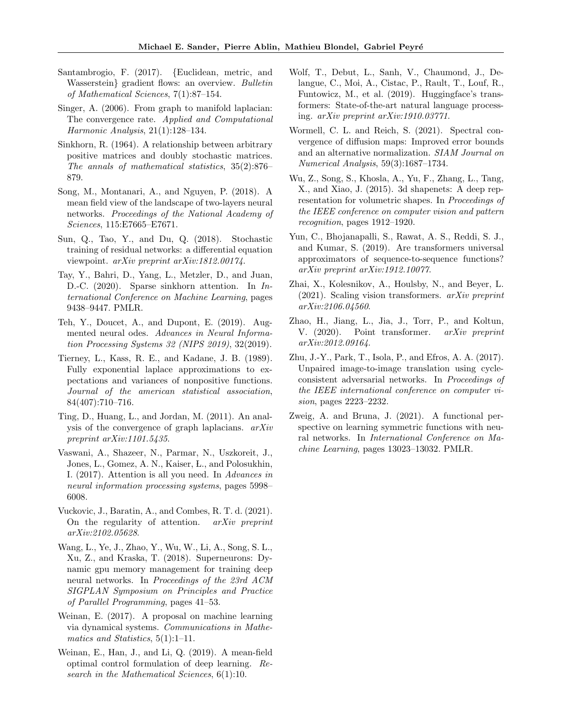- <span id="page-10-17"></span>Santambrogio, F. (2017). {Euclidean, metric, and Wasserstein} gradient flows: an overview. Bulletin of Mathematical Sciences, 7(1):87–154.
- <span id="page-10-7"></span>Singer, A. (2006). From graph to manifold laplacian: The convergence rate. Applied and Computational Harmonic Analysis, 21(1):128–134.
- <span id="page-10-5"></span>Sinkhorn, R. (1964). A relationship between arbitrary positive matrices and doubly stochastic matrices. The annals of mathematical statistics, 35(2):876– 879.
- <span id="page-10-16"></span>Song, M., Montanari, A., and Nguyen, P. (2018). A mean field view of the landscape of two-layers neural networks. Proceedings of the National Academy of Sciences, 115:E7665–E7671.
- <span id="page-10-12"></span>Sun, Q., Tao, Y., and Du, Q. (2018). Stochastic training of residual networks: a differential equation viewpoint. arXiv preprint arXiv:1812.00174.
- <span id="page-10-6"></span>Tay, Y., Bahri, D., Yang, L., Metzler, D., and Juan, D.-C. (2020). Sparse sinkhorn attention. In International Conference on Machine Learning, pages 9438–9447. PMLR.
- <span id="page-10-11"></span>Teh, Y., Doucet, A., and Dupont, E. (2019). Augmented neural odes. Advances in Neural Information Processing Systems 32 (NIPS 2019), 32(2019).
- <span id="page-10-20"></span>Tierney, L., Kass, R. E., and Kadane, J. B. (1989). Fully exponential laplace approximations to expectations and variances of nonpositive functions. Journal of the american statistical association, 84(407):710–716.
- <span id="page-10-8"></span>Ting, D., Huang, L., and Jordan, M. (2011). An analysis of the convergence of graph laplacians. arXiv preprint arXiv:1101.5435.
- <span id="page-10-0"></span>Vaswani, A., Shazeer, N., Parmar, N., Uszkoreit, J., Jones, L., Gomez, A. N., Kaiser, L., and Polosukhin, I. (2017). Attention is all you need. In Advances in neural information processing systems, pages 5998– 6008.
- <span id="page-10-14"></span>Vuckovic, J., Baratin, A., and Combes, R. T. d. (2021). On the regularity of attention.  $arXiv$  preprint arXiv:2102.05628.
- <span id="page-10-18"></span>Wang, L., Ye, J., Zhao, Y., Wu, W., Li, A., Song, S. L., Xu, Z., and Kraska, T. (2018). Superneurons: Dynamic gpu memory management for training deep neural networks. In Proceedings of the 23rd ACM SIGPLAN Symposium on Principles and Practice of Parallel Programming, pages 41–53.
- <span id="page-10-10"></span>Weinan, E. (2017). A proposal on machine learning via dynamical systems. Communications in Mathematics and Statistics, 5(1):1–11.
- <span id="page-10-13"></span>Weinan, E., Han, J., and Li, Q. (2019). A mean-field optimal control formulation of deep learning. Research in the Mathematical Sciences, 6(1):10.
- <span id="page-10-1"></span>Wolf, T., Debut, L., Sanh, V., Chaumond, J., Delangue, C., Moi, A., Cistac, P., Rault, T., Louf, R., Funtowicz, M., et al. (2019). Huggingface's transformers: State-of-the-art natural language processing. arXiv preprint arXiv:1910.03771.
- <span id="page-10-9"></span>Wormell, C. L. and Reich, S. (2021). Spectral convergence of diffusion maps: Improved error bounds and an alternative normalization. SIAM Journal on Numerical Analysis, 59(3):1687–1734.
- <span id="page-10-21"></span>Wu, Z., Song, S., Khosla, A., Yu, F., Zhang, L., Tang, X., and Xiao, J. (2015). 3d shapenets: A deep representation for volumetric shapes. In Proceedings of the IEEE conference on computer vision and pattern recognition, pages 1912–1920.
- <span id="page-10-4"></span>Yun, C., Bhojanapalli, S., Rawat, A. S., Reddi, S. J., and Kumar, S. (2019). Are transformers universal approximators of sequence-to-sequence functions? arXiv preprint arXiv:1912.10077.
- <span id="page-10-3"></span>Zhai, X., Kolesnikov, A., Houlsby, N., and Beyer, L.  $(2021)$ . Scaling vision transformers. *arXiv preprint* arXiv:2106.04560.
- <span id="page-10-2"></span>Zhao, H., Jiang, L., Jia, J., Torr, P., and Koltun, V. (2020). Point transformer. arXiv preprint arXiv:2012.09164.
- <span id="page-10-19"></span>Zhu, J.-Y., Park, T., Isola, P., and Efros, A. A. (2017). Unpaired image-to-image translation using cycleconsistent adversarial networks. In Proceedings of the IEEE international conference on computer vision, pages 2223–2232.
- <span id="page-10-15"></span>Zweig, A. and Bruna, J. (2021). A functional perspective on learning symmetric functions with neural networks. In International Conference on Machine Learning, pages 13023–13032. PMLR.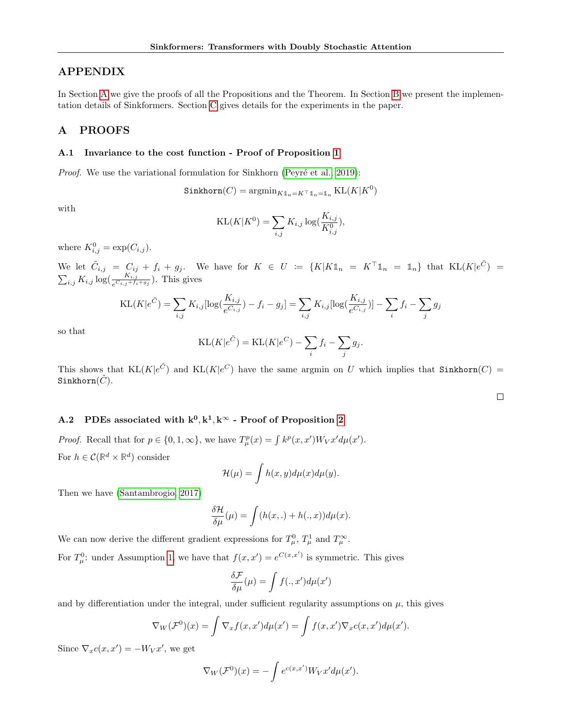## APPENDIX

In Section [A](#page-11-0) we give the proofs of all the Propositions and the Theorem. In Section [B](#page-14-1) we present the implementation details of Sinkformers. Section [C](#page-14-0) gives details for the experiments in the paper.

## <span id="page-11-0"></span>A PROOFS

#### A.1 Invariance to the cost function - Proof of Proposition [1](#page-3-2)

*Proof.* We use the variational formulation for Sinkhorn (Peyré et al., 2019):

$$
\mathtt{Sinkhorn}(C) = \mathrm{argmin}_{K \mathbb{1}_n = K^\top \mathbb{1}_n = \mathbb{1}_n} \, \mathrm{KL}(K | K^0)
$$

with

$$
KL(K|K^{0}) = \sum_{i,j} K_{i,j} \log(\frac{K_{i,j}}{K_{i,j}^{0}}),
$$

where  $K_{i,j}^0 = \exp(C_{i,j}).$ 

We let  $\tilde{C}_{i,j} = C_{ij} + f_i + g_j$ . We have for  $K \in U := \{K | K \mathbb{1}_n = K^{\top} \mathbb{1}_n = \mathbb{1}_n\}$  that  $KL(K | e^{\tilde{C}})$  $\sum_{i,j} K_{i,j} \log(\frac{K_{i,j}}{e^{C_{i,j}+f_i+g_j}})$ . This gives

$$
KL(K|e^{\tilde{C}}) = \sum_{i,j} K_{i,j} [\log(\frac{K_{i,j}}{e^{C_{i,j}}}) - f_i - g_j] = \sum_{i,j} K_{i,j} [\log(\frac{K_{i,j}}{e^{C_{i,j}}})] - \sum_i f_i - \sum_j g_j
$$

so that

$$
KL(K|e^{\tilde{C}}) = KL(K|e^C) - \sum_i f_i - \sum_j g_j.
$$

This shows that  $KL(K|e^{\tilde{C}})$  and  $KL(K|e^C)$  have the same argmin on U which implies that Sinkhorn $(C)$  = Sinkhorn $(C)$ .

 $\Box$ 

### A.2 PDEs associated with  $k^0, k^1, k^\infty$  - Proof of Proposition [2](#page-4-0)

*Proof.* Recall that for  $p \in \{0, 1, \infty\}$ , we have  $T^p_\mu(x) = \int k^p(x, x') W_V x' d\mu(x')$ . For  $h \in \mathcal{C}(\mathbb{R}^d \times \mathbb{R}^d)$  consider

$$
\mathcal{H}(\mu) = \int h(x, y) d\mu(x) d\mu(y).
$$

Then we have [\(Santambrogio, 2017\)](#page-10-17)

$$
\frac{\delta \mathcal{H}}{\delta \mu}(\mu) = \int (h(x,.) + h(.,x)) d\mu(x).
$$

We can now derive the different gradient expressions for  $T^0_\mu$ ,  $T^1_\mu$  and  $T^\infty_\mu$ .

For  $T_{\mu}^{0}$ : under Assumption [1,](#page-4-3) we have that  $f(x, x') = e^{C(x, x')}$  is symmetric. This gives

$$
\frac{\delta \mathcal{F}}{\delta \mu}(\mu) = \int f(., x') d\mu(x')
$$

and by differentiation under the integral, under sufficient regularity assumptions on  $\mu$ , this gives

$$
\nabla_W(\mathcal{F}^0)(x) = \int \nabla_x f(x, x') d\mu(x') = \int f(x, x') \nabla_x c(x, x') d\mu(x').
$$

Since  $\nabla_x c(x, x') = -W_V x'$ , we get

$$
\nabla_W(\mathcal{F}^0)(x) = -\int e^{c(x,x')} W_V x' d\mu(x').
$$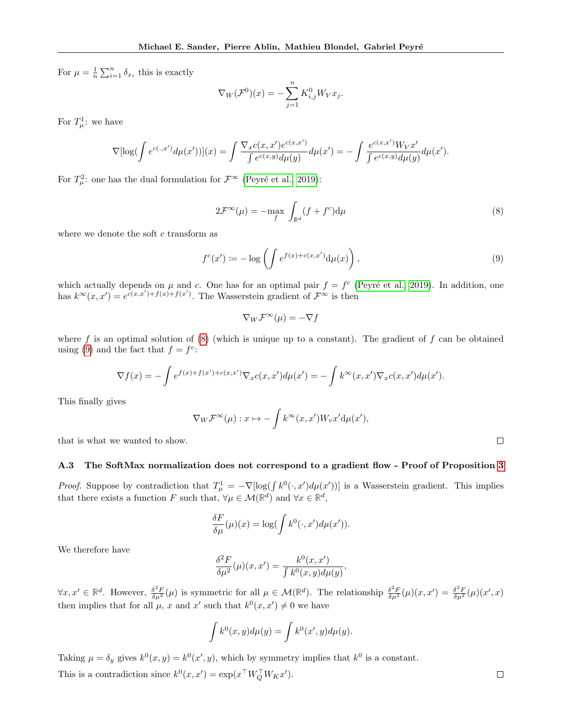For  $\mu = \frac{1}{n} \sum_{i=1}^{n} \delta_{x_i}$  this is exactly

$$
\nabla_W(\mathcal{F}^0)(x) = -\sum_{j=1}^n K_{i,j}^0 W_V x_j.
$$

For  $T^1_\mu$ : we have

$$
\nabla[\log(\int e^{c(.,x')}d\mu(x'))](x) = \int \frac{\nabla_x c(x,x')e^{c(x,x')}}{\int e^{c(x,y)}d\mu(y)}d\mu(x') = -\int \frac{e^{c(x,x')}W_Vx'}{\int e^{c(x,y)}d\mu(y)}d\mu(x').
$$

For  $T_{\mu}^2$ : one has the dual formulation for  $\mathcal{F}^{\infty}$  (Peyré et al., 2019):

$$
2\mathcal{F}^{\infty}(\mu) = -\max_{f} \int_{\mathbb{R}^d} (f + f^c) \mathrm{d}\mu \tag{8}
$$

where we denote the soft  $c$  transform as

$$
f^{c}(x') := -\log\left(\int e^{f(x) + c(x, x')} d\mu(x)\right),\tag{9}
$$

which actually depends on  $\mu$  and c. One has for an optimal pair  $f = f^c$  (Peyré et al., 2019). In addition, one has  $k^{\infty}(x, x') = e^{c(x,x')+f(x')+f(x')}$ . The Wasserstein gradient of  $\mathcal{F}^{\infty}$  is then

$$
\nabla_W \mathcal{F}^\infty(\mu) = -\nabla f
$$

where f is an optimal solution of  $(8)$  (which is unique up to a constant). The gradient of f can be obtained using [\(9\)](#page-12-1) and the fact that  $f = f^c$ :

$$
\nabla f(x) = -\int e^{f(x) + f(x') + c(x, x')} \nabla_x c(x, x') d\mu(x') = -\int k^{\infty}(x, x') \nabla_x c(x, x') d\mu(x').
$$

This finally gives

$$
\nabla_W \mathcal{F}^\infty(\mu) : x \mapsto -\int k^\infty(x, x') W_v x' d\mu(x'),
$$

that is what we wanted to show.

### A.3 The SoftMax normalization does not correspond to a gradient flow - Proof of Proposition [3](#page-4-1)

*Proof.* Suppose by contradiction that  $T_{\mu}^1 = -\nabla[\log(\int k^0(\cdot, x')d\mu(x'))]$  is a Wasserstein gradient. This implies that there exists a function F such that,  $\forall \mu \in \mathcal{M}(\mathbb{R}^d)$  and  $\forall x \in \mathbb{R}^d$ ,

$$
\frac{\delta F}{\delta \mu}(\mu)(x) = \log \left( \int k^0(\cdot, x') d\mu(x') \right).
$$

We therefore have

$$
\frac{\delta^2 F}{\delta \mu^2}(\mu)(x, x') = \frac{k^0(x, x')}{\int k^0(x, y) d\mu(y)},
$$

 $\forall x, x' \in \mathbb{R}^d$ . However,  $\frac{\delta^2 F}{\delta \mu^2}(\mu)$  is symmetric for all  $\mu \in \mathcal{M}(\mathbb{R}^d)$ . The relationship  $\frac{\delta^2 F}{\delta \mu^2}(\mu)(x, x') = \frac{\delta^2 F}{\delta \mu^2}(\mu)(x', x')$ then implies that for all  $\mu$ , x and x' such that  $k^0(x, x') \neq 0$  we have

$$
\int k^{0}(x, y)d\mu(y) = \int k^{0}(x', y)d\mu(y).
$$

Taking  $\mu = \delta_y$  gives  $k^0(x, y) = k^0(x', y)$ , which by symmetry implies that  $k^0$  is a constant. This is a contradiction since  $k^0(x, x') = \exp(x^\top W_Q^\top W_K x')$ .

<span id="page-12-1"></span><span id="page-12-0"></span> $\Box$ 

#### $\Box$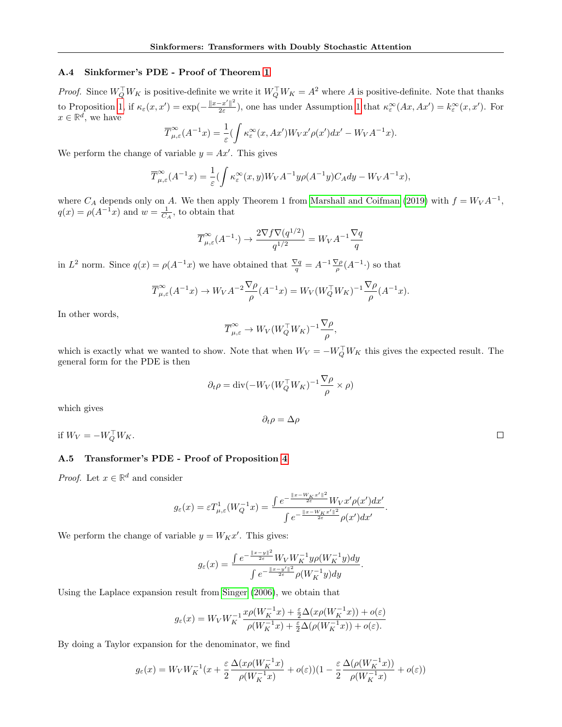### A.4 Sinkformer's PDE - Proof of Theorem [1](#page-5-0)

*Proof.* Since  $W_Q^{\top} W_K$  is positive-definite we write it  $W_Q^{\top} W_K = A^2$  where A is positive-definite. Note that thanks to Proposition [1,](#page-3-2) if  $\kappa_{\varepsilon}(x, x') = \exp(-\frac{\|x-x'\|^2}{2\varepsilon})$  $\frac{-x'\|^2}{2\varepsilon}$ , one has under Assumption [1](#page-4-3) that  $\kappa_{\varepsilon}^{\infty}(Ax, Ax') = k_{\varepsilon}^{\infty}(x, x')$ . For  $x \in \mathbb{R}^d$ , we have

$$
\overline{T}_{\mu,\varepsilon}^{\infty}(A^{-1}x) = \frac{1}{\varepsilon} \left( \int \kappa_{\varepsilon}^{\infty}(x, Ax') W_V x' \rho(x') dx' - W_V A^{-1} x \right).
$$

We perform the change of variable  $y = Ax'$ . This gives

$$
\overline{T}^{\infty}_{\mu,\varepsilon}(A^{-1}x) = \frac{1}{\varepsilon} (\int \kappa_{\varepsilon}^{\infty}(x,y) W_V A^{-1} y \rho(A^{-1}y) C_A dy - W_V A^{-1} x),
$$

where  $C_A$  depends only on A. We then apply Theorem 1 from [Marshall and Coifman](#page-9-7) [\(2019\)](#page-9-7) with  $f = W_V A^{-1}$ ,  $q(x) = \rho(A^{-1}x)$  and  $w = \frac{1}{C_A}$ , to obtain that

$$
\overline{T}^{\infty}_{\mu,\varepsilon}(A^{-1}\cdot) \to \frac{2\nabla f \nabla (q^{1/2})}{q^{1/2}} = W_V A^{-1} \frac{\nabla q}{q}
$$

in  $L^2$  norm. Since  $q(x) = \rho(A^{-1}x)$  we have obtained that  $\frac{\nabla q}{q} = A^{-1} \frac{\nabla \rho}{\rho}(A^{-1} \cdot)$  so that

$$
\overline{T}^{\infty}_{\mu,\varepsilon}(A^{-1}x) \to W_V A^{-2} \frac{\nabla \rho}{\rho} (A^{-1}x) = W_V (W_Q^{\top} W_K)^{-1} \frac{\nabla \rho}{\rho} (A^{-1}x).
$$

In other words,

$$
\overline{T}_{\mu,\varepsilon}^{\infty} \to W_V (W_Q^{\top} W_K)^{-1} \frac{\nabla \rho}{\rho},
$$

which is exactly what we wanted to show. Note that when  $W_V = -W_Q^{\top} W_K$  this gives the expected result. The general form for the PDE is then

$$
\partial_t \rho = \text{div}(-W_V (W_Q^\top W_K)^{-1} \frac{\nabla \rho}{\rho} \times \rho)
$$

 $\partial_t \rho = \Delta \rho$ 

which gives

if  $W_V = -W_Q^{\top} W_K$ .

## A.5 Transformer's PDE - Proof of Proposition [4](#page-5-1)

*Proof.* Let  $x \in \mathbb{R}^d$  and consider

$$
g_\varepsilon(x)=\varepsilon T^1_{\mu,\varepsilon}(W_Q^{-1}x)=\frac{\int e^{-\frac{\|x-W_Kx'\|^2}{2\varepsilon}}W_Vx'\rho(x')dx'}{\int e^{-\frac{\|x-W_Kx'\|^2}{2\varepsilon}}\rho(x')dx'}
$$

.

We perform the change of variable  $y = W_K x'$ . This gives:

$$
g_{\varepsilon}(x) = \frac{\int e^{-\frac{||x-y||^2}{2\varepsilon}} W_V W_K^{-1} y \rho(W_K^{-1} y) dy}{\int e^{-\frac{||x-y'||^2}{2\varepsilon}} \rho(W_K^{-1} y) dy}.
$$

Using the Laplace expansion result from [Singer](#page-10-7) [\(2006\)](#page-10-7), we obtain that

$$
g_{\varepsilon}(x)=W_VW_K^{-1}\frac{x\rho(W_K^{-1}x)+\frac{\varepsilon}{2}\Delta(x\rho(W_K^{-1}x))+o(\varepsilon)}{\rho(W_K^{-1}x)+\frac{\varepsilon}{2}\Delta(\rho(W_K^{-1}x))+o(\varepsilon)}.
$$

By doing a Taylor expansion for the denominator, we find

$$
g_\varepsilon(x)=W_VW_K^{-1}(x+\frac{\varepsilon}{2}\frac{\Delta(x\rho(W_K^{-1}x)}{\rho(W_K^{-1}x)}+o(\varepsilon))(1-\frac{\varepsilon}{2}\frac{\Delta(\rho(W_K^{-1}x))}{\rho(W_K^{-1}x)}+o(\varepsilon))
$$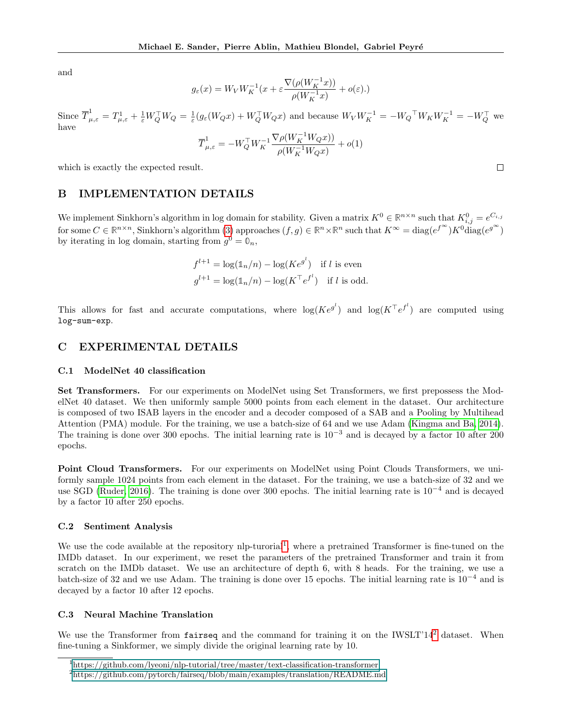and

$$
g_\varepsilon(x)=W_VW_K^{-1}(x+\varepsilon\frac{\nabla(\rho(W_K^{-1}x))}{\rho(W_K^{-1}x)}+o(\varepsilon).)
$$

Since  $\overline{T}_{\mu,\varepsilon}^1 = T_{\mu,\varepsilon}^1 + \frac{1}{\varepsilon}W_Q^{\top}W_Q = \frac{1}{\varepsilon}(g_{\varepsilon}(W_Qx) + W_Q^{\top}W_Qx)$  and because  $W_VW_K^{-1} = -W_Q^{\top}W_KW_K^{-1} = -W_Q^{\top}$  we have

$$
\overline{T}^1_{\mu,\varepsilon}=-W_Q^\top W^{-1}_K \frac{\nabla\rho(W_K^{-1}W_Qx))}{\rho(W_K^{-1}W_Qx)}+o(1)
$$

 $\Box$ 

which is exactly the expected result.

### <span id="page-14-1"></span>B IMPLEMENTATION DETAILS

We implement Sinkhorn's algorithm in log domain for stability. Given a matrix  $K^0 \in \mathbb{R}^{n \times n}$  such that  $K^0_{i,j} = e^{C_{i,j}}$ for some  $C \in \mathbb{R}^{n \times n}$ , Sinkhorn's algorithm [\(3\)](#page-2-1) approaches  $(f, g) \in \mathbb{R}^n \times \mathbb{R}^n$  such that  $K^{\infty} = \text{diag}(e^{f^{\infty}})K^0 \text{diag}(e^{g^{\infty}})$ by iterating in log domain, starting from  $g^0 = \mathbb{0}_n$ ,

$$
f^{l+1} = \log(\mathbb{1}_n/n) - \log(Ke^{g^l}) \quad \text{if } l \text{ is even}
$$
  

$$
g^{l+1} = \log(\mathbb{1}_n/n) - \log(K^\top e^{f^l}) \quad \text{if } l \text{ is odd.}
$$

This allows for fast and accurate computations, where  $log(Ke^{g^l})$  and  $log(K^{\top}e^{f^l})$  are computed using log-sum-exp.

## <span id="page-14-0"></span>C EXPERIMENTAL DETAILS

#### C.1 ModelNet 40 classification

Set Transformers. For our experiments on ModelNet using Set Transformers, we first prepossess the ModelNet 40 dataset. We then uniformly sample 5000 points from each element in the dataset. Our architecture is composed of two ISAB layers in the encoder and a decoder composed of a SAB and a Pooling by Multihead Attention (PMA) module. For the training, we use a batch-size of 64 and we use Adam [\(Kingma and Ba, 2014\)](#page-9-24). The training is done over 300 epochs. The initial learning rate is  $10^{-3}$  and is decayed by a factor 10 after 200 epochs.

Point Cloud Transformers. For our experiments on ModelNet using Point Clouds Transformers, we uniformly sample 1024 points from each element in the dataset. For the training, we use a batch-size of 32 and we use SGD [\(Ruder, 2016\)](#page-9-25). The training is done over 300 epochs. The initial learning rate is  $10^{-4}$  and is decayed by a factor 10 after 250 epochs.

#### C.2 Sentiment Analysis

We use the code available at the repository nlp-turorial<sup>[1](#page-14-2)</sup>, where a pretrained Transformer is fine-tuned on the IMDb dataset. In our experiment, we reset the parameters of the pretrained Transformer and train it from scratch on the IMDb dataset. We use an architecture of depth 6, with 8 heads. For the training, we use a batch-size of 32 and we use Adam. The training is done over 15 epochs. The initial learning rate is 10<sup>−</sup><sup>4</sup> and is decayed by a factor 10 after 12 epochs.

### C.3 Neural Machine Translation

We use the Transformer from fairseq and the command for training it on the IWSLT'14<sup>[2](#page-14-3)</sup> dataset. When fine-tuning a Sinkformer, we simply divide the original learning rate by 10.

<span id="page-14-2"></span> $1$ [https://github.com/lyeoni/nlp-tutorial/tree/master/text-classification-transformer](#page-0-2)

<span id="page-14-3"></span><sup>2</sup>[https://github.com/pytorch/fairseq/blob/main/examples/translation/README.md](#page-0-2)